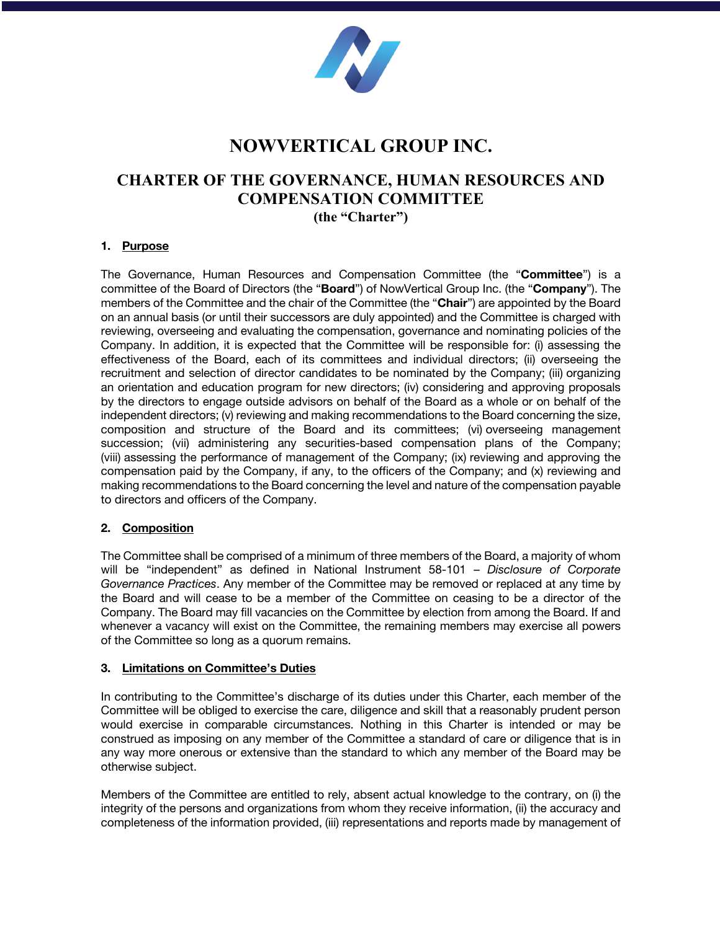

# **NOWVERTICAL GROUP INC.**

## **CHARTER OF THE GOVERNANCE, HUMAN RESOURCES AND COMPENSATION COMMITTEE**

**(the "Charter")**

## **1. Purpose**

The Governance, Human Resources and Compensation Committee (the "**Committee**") is a committee of the Board of Directors (the "**Board**") of NowVertical Group Inc. (the "**Company**"). The members of the Committee and the chair of the Committee (the "**Chair**") are appointed by the Board on an annual basis (or until their successors are duly appointed) and the Committee is charged with reviewing, overseeing and evaluating the compensation, governance and nominating policies of the Company. In addition, it is expected that the Committee will be responsible for: (i) assessing the effectiveness of the Board, each of its committees and individual directors; (ii) overseeing the recruitment and selection of director candidates to be nominated by the Company; (iii) organizing an orientation and education program for new directors; (iv) considering and approving proposals by the directors to engage outside advisors on behalf of the Board as a whole or on behalf of the independent directors; (v) reviewing and making recommendations to the Board concerning the size, composition and structure of the Board and its committees; (vi) overseeing management succession; (vii) administering any securities-based compensation plans of the Company; (viii) assessing the performance of management of the Company; (ix) reviewing and approving the compensation paid by the Company, if any, to the officers of the Company; and (x) reviewing and making recommendations to the Board concerning the level and nature of the compensation payable to directors and officers of the Company.

## **2. Composition**

The Committee shall be comprised of a minimum of three members of the Board, a majority of whom will be "independent" as defined in National Instrument 58-101 – *Disclosure of Corporate Governance Practices*. Any member of the Committee may be removed or replaced at any time by the Board and will cease to be a member of the Committee on ceasing to be a director of the Company. The Board may fill vacancies on the Committee by election from among the Board. If and whenever a vacancy will exist on the Committee, the remaining members may exercise all powers of the Committee so long as a quorum remains.

## **3. Limitations on Committee's Duties**

In contributing to the Committee's discharge of its duties under this Charter, each member of the Committee will be obliged to exercise the care, diligence and skill that a reasonably prudent person would exercise in comparable circumstances. Nothing in this Charter is intended or may be construed as imposing on any member of the Committee a standard of care or diligence that is in any way more onerous or extensive than the standard to which any member of the Board may be otherwise subject.

Members of the Committee are entitled to rely, absent actual knowledge to the contrary, on (i) the integrity of the persons and organizations from whom they receive information, (ii) the accuracy and completeness of the information provided, (iii) representations and reports made by management of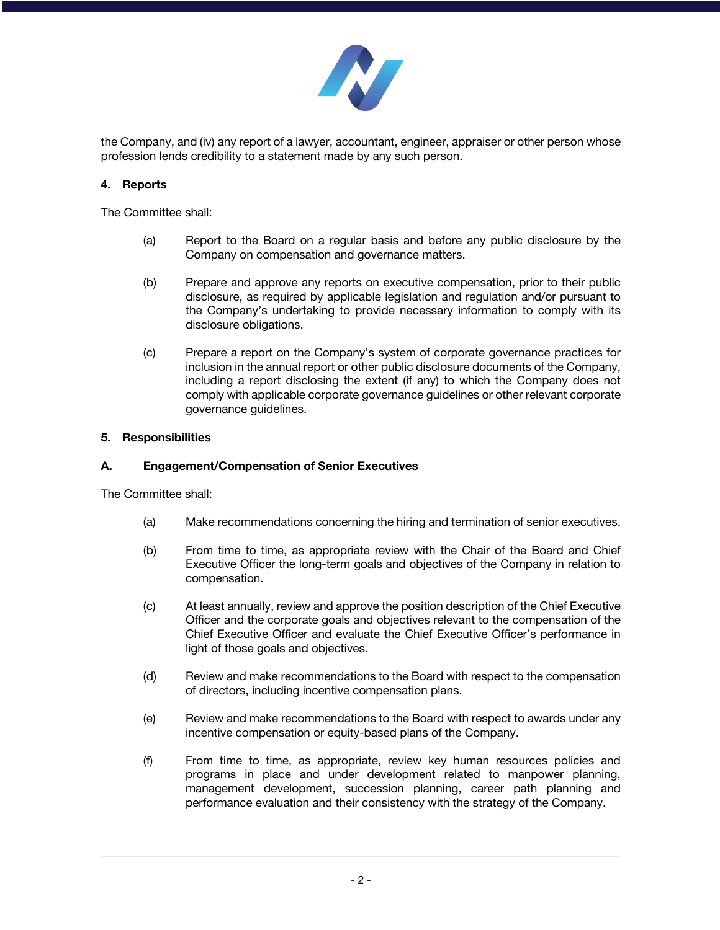

the Company, and (iv) any report of a lawyer, accountant, engineer, appraiser or other person whose profession lends credibility to a statement made by any such person.

## **4. Reports**

The Committee shall:

- (a) Report to the Board on a regular basis and before any public disclosure by the Company on compensation and governance matters.
- (b) Prepare and approve any reports on executive compensation, prior to their public disclosure, as required by applicable legislation and regulation and/or pursuant to the Company's undertaking to provide necessary information to comply with its disclosure obligations.
- (c) Prepare a report on the Company's system of corporate governance practices for inclusion in the annual report or other public disclosure documents of the Company, including a report disclosing the extent (if any) to which the Company does not comply with applicable corporate governance guidelines or other relevant corporate governance guidelines.

## **5. Responsibilities**

#### **A. Engagement/Compensation of Senior Executives**

The Committee shall:

- (a) Make recommendations concerning the hiring and termination of senior executives.
- (b) From time to time, as appropriate review with the Chair of the Board and Chief Executive Officer the long-term goals and objectives of the Company in relation to compensation.
- (c) At least annually, review and approve the position description of the Chief Executive Officer and the corporate goals and objectives relevant to the compensation of the Chief Executive Officer and evaluate the Chief Executive Officer's performance in light of those goals and objectives.
- (d) Review and make recommendations to the Board with respect to the compensation of directors, including incentive compensation plans.
- (e) Review and make recommendations to the Board with respect to awards under any incentive compensation or equity-based plans of the Company.
- (f) From time to time, as appropriate, review key human resources policies and programs in place and under development related to manpower planning, management development, succession planning, career path planning and performance evaluation and their consistency with the strategy of the Company.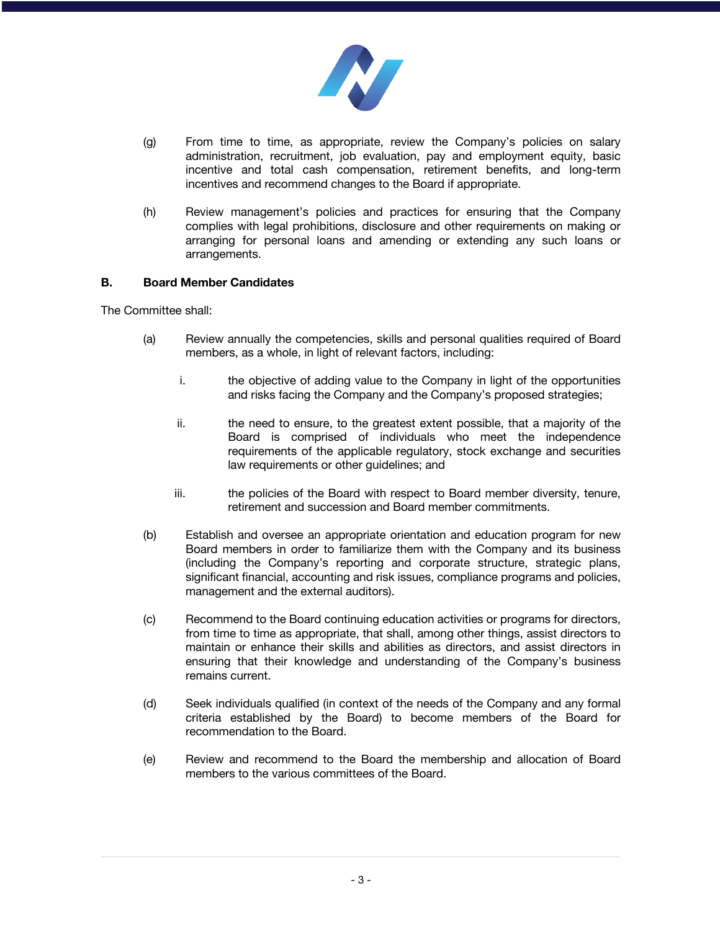

- (g) From time to time, as appropriate, review the Company's policies on salary administration, recruitment, job evaluation, pay and employment equity, basic incentive and total cash compensation, retirement benefits, and long-term incentives and recommend changes to the Board if appropriate.
- (h) Review management's policies and practices for ensuring that the Company complies with legal prohibitions, disclosure and other requirements on making or arranging for personal loans and amending or extending any such loans or arrangements.

#### **B. Board Member Candidates**

The Committee shall:

- (a) Review annually the competencies, skills and personal qualities required of Board members, as a whole, in light of relevant factors, including:
	- i. the objective of adding value to the Company in light of the opportunities and risks facing the Company and the Company's proposed strategies;
	- ii. the need to ensure, to the greatest extent possible, that a majority of the Board is comprised of individuals who meet the independence requirements of the applicable regulatory, stock exchange and securities law requirements or other guidelines; and
	- iii. the policies of the Board with respect to Board member diversity, tenure, retirement and succession and Board member commitments.
- (b) Establish and oversee an appropriate orientation and education program for new Board members in order to familiarize them with the Company and its business (including the Company's reporting and corporate structure, strategic plans, significant financial, accounting and risk issues, compliance programs and policies, management and the external auditors).
- (c) Recommend to the Board continuing education activities or programs for directors, from time to time as appropriate, that shall, among other things, assist directors to maintain or enhance their skills and abilities as directors, and assist directors in ensuring that their knowledge and understanding of the Company's business remains current.
- (d) Seek individuals qualified (in context of the needs of the Company and any formal criteria established by the Board) to become members of the Board for recommendation to the Board.
- (e) Review and recommend to the Board the membership and allocation of Board members to the various committees of the Board.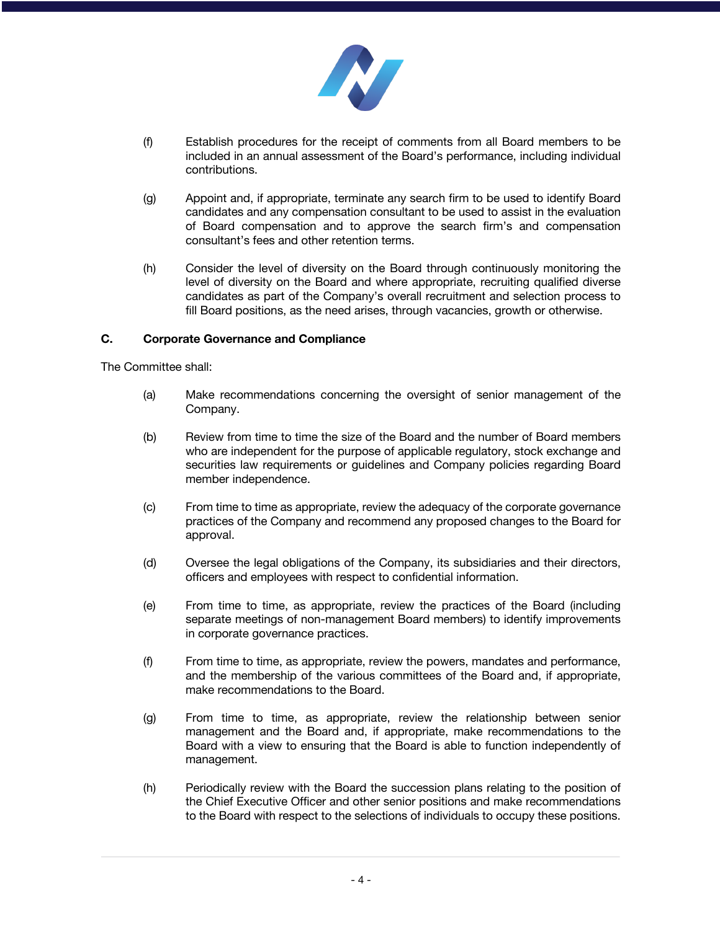

- (f) Establish procedures for the receipt of comments from all Board members to be included in an annual assessment of the Board's performance, including individual contributions.
- (g) Appoint and, if appropriate, terminate any search firm to be used to identify Board candidates and any compensation consultant to be used to assist in the evaluation of Board compensation and to approve the search firm's and compensation consultant's fees and other retention terms.
- (h) Consider the level of diversity on the Board through continuously monitoring the level of diversity on the Board and where appropriate, recruiting qualified diverse candidates as part of the Company's overall recruitment and selection process to fill Board positions, as the need arises, through vacancies, growth or otherwise.

#### **C. Corporate Governance and Compliance**

The Committee shall:

- (a) Make recommendations concerning the oversight of senior management of the Company.
- (b) Review from time to time the size of the Board and the number of Board members who are independent for the purpose of applicable regulatory, stock exchange and securities law requirements or guidelines and Company policies regarding Board member independence.
- (c) From time to time as appropriate, review the adequacy of the corporate governance practices of the Company and recommend any proposed changes to the Board for approval.
- (d) Oversee the legal obligations of the Company, its subsidiaries and their directors, officers and employees with respect to confidential information.
- (e) From time to time, as appropriate, review the practices of the Board (including separate meetings of non-management Board members) to identify improvements in corporate governance practices.
- (f) From time to time, as appropriate, review the powers, mandates and performance, and the membership of the various committees of the Board and, if appropriate, make recommendations to the Board.
- (g) From time to time, as appropriate, review the relationship between senior management and the Board and, if appropriate, make recommendations to the Board with a view to ensuring that the Board is able to function independently of management.
- (h) Periodically review with the Board the succession plans relating to the position of the Chief Executive Officer and other senior positions and make recommendations to the Board with respect to the selections of individuals to occupy these positions.